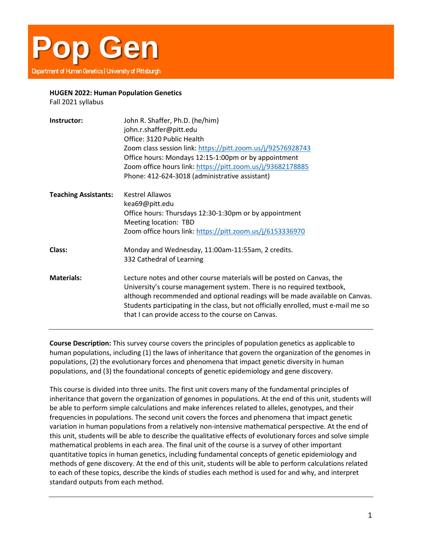

## **HUGEN 2022: Human Population Genetics**

Fall 2021 syllabus

| Instructor:                 | John R. Shaffer, Ph.D. (he/him)<br>john.r.shaffer@pitt.edu<br>Office: 3120 Public Health<br>Zoom class session link: https://pitt.zoom.us/j/92576928743<br>Office hours: Mondays 12:15-1:00pm or by appointment<br>Zoom office hours link: https://pitt.zoom.us/j/93682178885<br>Phone: 412-624-3018 (administrative assistant)                                              |
|-----------------------------|------------------------------------------------------------------------------------------------------------------------------------------------------------------------------------------------------------------------------------------------------------------------------------------------------------------------------------------------------------------------------|
| <b>Teaching Assistants:</b> | Kestrel Allawos<br>kea69@pitt.edu<br>Office hours: Thursdays 12:30-1:30pm or by appointment<br>Meeting location: TBD<br>Zoom office hours link: https://pitt.zoom.us/j/6153336970                                                                                                                                                                                            |
| Class:                      | Monday and Wednesday, 11:00am-11:55am, 2 credits.<br>332 Cathedral of Learning                                                                                                                                                                                                                                                                                               |
| <b>Materials:</b>           | Lecture notes and other course materials will be posted on Canvas, the<br>University's course management system. There is no required textbook,<br>although recommended and optional readings will be made available on Canvas.<br>Students participating in the class, but not officially enrolled, must e-mail me so<br>that I can provide access to the course on Canvas. |

**Course Description:** This survey course covers the principles of population genetics as applicable to human populations, including (1) the laws of inheritance that govern the organization of the genomes in populations, (2) the evolutionary forces and phenomena that impact genetic diversity in human populations, and (3) the foundational concepts of genetic epidemiology and gene discovery.

This course is divided into three units. The first unit covers many of the fundamental principles of inheritance that govern the organization of genomes in populations. At the end of this unit, students will be able to perform simple calculations and make inferences related to alleles, genotypes, and their frequencies in populations. The second unit covers the forces and phenomena that impact genetic variation in human populations from a relatively non-intensive mathematical perspective. At the end of this unit, students will be able to describe the qualitative effects of evolutionary forces and solve simple mathematical problems in each area. The final unit of the course is a survey of other important quantitative topics in human genetics, including fundamental concepts of genetic epidemiology and methods of gene discovery. At the end of this unit, students will be able to perform calculations related to each of these topics, describe the kinds of studies each method is used for and why, and interpret standard outputs from each method.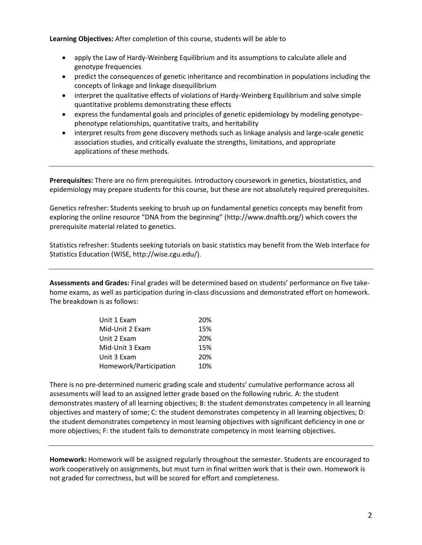**Learning Objectives:** After completion of this course, students will be able to

- apply the Law of Hardy-Weinberg Equilibrium and its assumptions to calculate allele and genotype frequencies
- predict the consequences of genetic inheritance and recombination in populations including the concepts of linkage and linkage disequilibrium
- interpret the qualitative effects of violations of Hardy-Weinberg Equilibrium and solve simple quantitative problems demonstrating these effects
- express the fundamental goals and principles of genetic epidemiology by modeling genotypephenotype relationships, quantitative traits, and heritability
- interpret results from gene discovery methods such as linkage analysis and large-scale genetic association studies, and critically evaluate the strengths, limitations, and appropriate applications of these methods.

**Prerequisites:** There are no firm prerequisites. Introductory coursework in genetics, biostatistics, and epidemiology may prepare students for this course, but these are not absolutely required prerequisites.

Genetics refresher: Students seeking to brush up on fundamental genetics concepts may benefit from exploring the online resource "DNA from the beginning" (http://www.dnaftb.org/) which covers the prerequisite material related to genetics.

Statistics refresher: Students seeking tutorials on basic statistics may benefit from the Web Interface for Statistics Education (WISE, http://wise.cgu.edu/).

**Assessments and Grades:** Final grades will be determined based on students' performance on five takehome exams, as well as participation during in-class discussions and demonstrated effort on homework. The breakdown is as follows:

| Unit 1 Exam            | 20% |
|------------------------|-----|
| Mid-Unit 2 Exam        | 15% |
| Unit 2 Exam            | 20% |
| Mid-Unit 3 Exam        | 15% |
| Unit 3 Exam            | 20% |
| Homework/Participation | 10% |

There is no pre-determined numeric grading scale and students' cumulative performance across all assessments will lead to an assigned letter grade based on the following rubric. A: the student demonstrates mastery of all learning objectives; B: the student demonstrates competency in all learning objectives and mastery of some; C: the student demonstrates competency in all learning objectives; D: the student demonstrates competency in most learning objectives with significant deficiency in one or more objectives; F: the student fails to demonstrate competency in most learning objectives.

**Homework:** Homework will be assigned regularly throughout the semester. Students are encouraged to work cooperatively on assignments, but must turn in final written work that is their own. Homework is not graded for correctness, but will be scored for effort and completeness.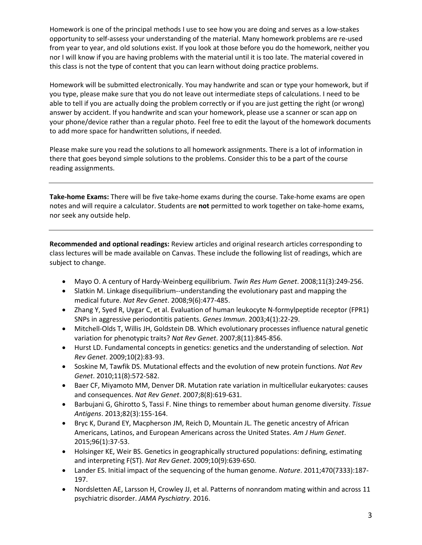Homework is one of the principal methods I use to see how you are doing and serves as a low-stakes opportunity to self-assess your understanding of the material. Many homework problems are re-used from year to year, and old solutions exist. If you look at those before you do the homework, neither you nor I will know if you are having problems with the material until it is too late. The material covered in this class is not the type of content that you can learn without doing practice problems.

Homework will be submitted electronically. You may handwrite and scan or type your homework, but if you type, please make sure that you do not leave out intermediate steps of calculations. I need to be able to tell if you are actually doing the problem correctly or if you are just getting the right (or wrong) answer by accident. If you handwrite and scan your homework, please use a scanner or scan app on your phone/device rather than a regular photo. Feel free to edit the layout of the homework documents to add more space for handwritten solutions, if needed.

Please make sure you read the solutions to all homework assignments. There is a lot of information in there that goes beyond simple solutions to the problems. Consider this to be a part of the course reading assignments.

**Take-home Exams:** There will be five take-home exams during the course. Take-home exams are open notes and will require a calculator. Students are **not** permitted to work together on take-home exams, nor seek any outside help.

**Recommended and optional readings:** Review articles and original research articles corresponding to class lectures will be made available on Canvas. These include the following list of readings, which are subject to change.

- Mayo O. A century of Hardy-Weinberg equilibrium. *Twin Res Hum Genet*. 2008;11(3):249-256.
- Slatkin M. Linkage disequilibrium--understanding the evolutionary past and mapping the medical future. *Nat Rev Genet*. 2008;9(6):477-485.
- Zhang Y, Syed R, Uygar C, et al. Evaluation of human leukocyte N-formylpeptide receptor (FPR1) SNPs in aggressive periodontitis patients. *Genes Immun*. 2003;4(1):22-29.
- Mitchell-Olds T, Willis JH, Goldstein DB. Which evolutionary processes influence natural genetic variation for phenotypic traits? *Nat Rev Genet*. 2007;8(11):845-856.
- Hurst LD. Fundamental concepts in genetics: genetics and the understanding of selection. *Nat Rev Genet*. 2009;10(2):83-93.
- Soskine M, Tawfik DS. Mutational effects and the evolution of new protein functions. *Nat Rev Genet*. 2010;11(8):572-582.
- Baer CF, Miyamoto MM, Denver DR. Mutation rate variation in multicellular eukaryotes: causes and consequences. *Nat Rev Genet*. 2007;8(8):619-631.
- Barbujani G, Ghirotto S, Tassi F. Nine things to remember about human genome diversity. *Tissue Antigens*. 2013;82(3):155-164.
- Bryc K, Durand EY, Macpherson JM, Reich D, Mountain JL. The genetic ancestry of African Americans, Latinos, and European Americans across the United States. *Am J Hum Genet*. 2015;96(1):37-53.
- Holsinger KE, Weir BS. Genetics in geographically structured populations: defining, estimating and interpreting F(ST). *Nat Rev Genet*. 2009;10(9):639-650.
- Lander ES. Initial impact of the sequencing of the human genome. *Nature*. 2011;470(7333):187- 197.
- Nordsletten AE, Larsson H, Crowley JJ, et al. Patterns of nonrandom mating within and across 11 psychiatric disorder. *JAMA Pyschiatry*. 2016.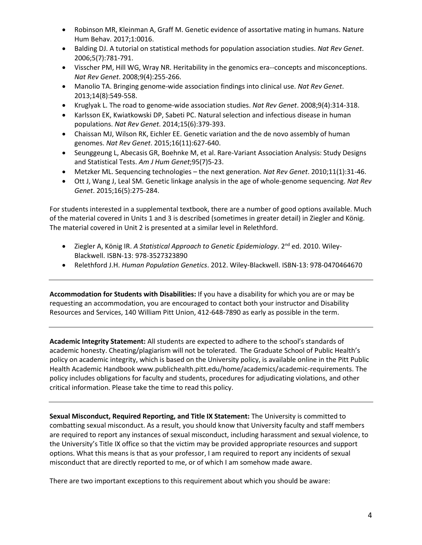- Robinson MR, Kleinman A, Graff M. Genetic evidence of assortative mating in humans. Nature Hum Behav. 2017;1:0016.
- Balding DJ. A tutorial on statistical methods for population association studies. *Nat Rev Genet*. 2006;5(7):781-791.
- Visscher PM, Hill WG, Wray NR. Heritability in the genomics era--concepts and misconceptions. *Nat Rev Genet*. 2008;9(4):255-266.
- Manolio TA. Bringing genome-wide association findings into clinical use. *Nat Rev Genet*. 2013;14(8):549-558.
- Kruglyak L. The road to genome-wide association studies. *Nat Rev Genet*. 2008;9(4):314-318.
- Karlsson EK, Kwiatkowski DP, Sabeti PC. Natural selection and infectious disease in human populations. *Nat Rev Genet*. 2014;15(6):379-393.
- Chaissan MJ, Wilson RK, Eichler EE. Genetic variation and the de novo assembly of human genomes. *Nat Rev Genet*. 2015;16(11):627-640.
- Seunggeung L, Abecasis GR, Boehnke M, et al. Rare-Variant Association Analysis: Study Designs and Statistical Tests. *Am J Hum Genet*;95(7)5-23.
- Metzker ML. Sequencing technologies the next generation. *Nat Rev Genet*. 2010;11(1):31-46.
- Ott J, Wang J, Leal SM. Genetic linkage analysis in the age of whole-genome sequencing. *Nat Rev Genet*. 2015;16(5):275-284.

For students interested in a supplemental textbook, there are a number of good options available. Much of the material covered in Units 1 and 3 is described (sometimes in greater detail) in Ziegler and König. The material covered in Unit 2 is presented at a similar level in Relethford.

- Ziegler A, König IR. *A Statistical Approach to Genetic Epidemiology*. 2<sup>nd</sup> ed. 2010. Wiley-Blackwell. ISBN-13: 978-3527323890
- Relethford J.H. *Human Population Genetics*. 2012. Wiley-Blackwell. ISBN-13: 978-0470464670

**Accommodation for Students with Disabilities:** If you have a disability for which you are or may be requesting an accommodation, you are encouraged to contact both your instructor and Disability Resources and Services, 140 William Pitt Union, 412-648-7890 as early as possible in the term.

**Academic Integrity Statement:** All students are expected to adhere to the school's standards of academic honesty. Cheating/plagiarism will not be tolerated. The Graduate School of Public Health's policy on academic integrity, which is based on the University policy, is available online in the Pitt Public Health Academic Handbook www.publichealth.pitt.edu/home/academics/academic-requirements. The policy includes obligations for faculty and students, procedures for adjudicating violations, and other critical information. Please take the time to read this policy.

**Sexual Misconduct, Required Reporting, and Title IX Statement:** The University is committed to combatting sexual misconduct. As a result, you should know that University faculty and staff members are required to report any instances of sexual misconduct, including harassment and sexual violence, to the University's Title IX office so that the victim may be provided appropriate resources and support options. What this means is that as your professor, I am required to report any incidents of sexual misconduct that are directly reported to me, or of which I am somehow made aware.

There are two important exceptions to this requirement about which you should be aware: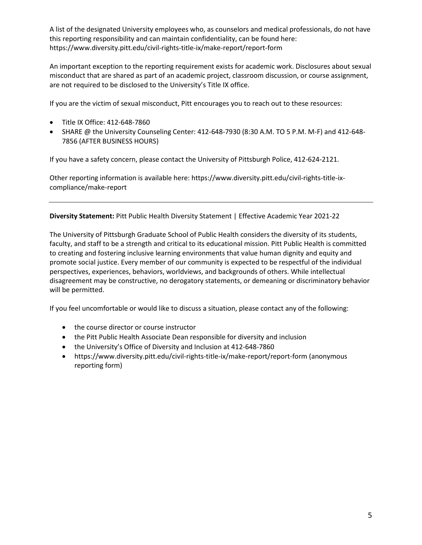A list of the designated University employees who, as counselors and medical professionals, do not have this reporting responsibility and can maintain confidentiality, can be found here: https://www.diversity.pitt.edu/civil-rights-title-ix/make-report/report-form

An important exception to the reporting requirement exists for academic work. Disclosures about sexual misconduct that are shared as part of an academic project, classroom discussion, or course assignment, are not required to be disclosed to the University's Title IX office.

If you are the victim of sexual misconduct, Pitt encourages you to reach out to these resources:

- Title IX Office: 412-648-7860
- SHARE @ the University Counseling Center: 412-648-7930 (8:30 A.M. TO 5 P.M. M-F) and 412-648- 7856 (AFTER BUSINESS HOURS)

If you have a safety concern, please contact the University of Pittsburgh Police, 412-624-2121.

Other reporting information is available here: https://www.diversity.pitt.edu/civil-rights-title-ixcompliance/make-report

**Diversity Statement:** Pitt Public Health Diversity Statement | Effective Academic Year 2021‐22

The University of Pittsburgh Graduate School of Public Health considers the diversity of its students, faculty, and staff to be a strength and critical to its educational mission. Pitt Public Health is committed to creating and fostering inclusive learning environments that value human dignity and equity and promote social justice. Every member of our community is expected to be respectful of the individual perspectives, experiences, behaviors, worldviews, and backgrounds of others. While intellectual disagreement may be constructive, no derogatory statements, or demeaning or discriminatory behavior will be permitted.

If you feel uncomfortable or would like to discuss a situation, please contact any of the following:

- the course director or course instructor
- the Pitt Public Health Associate Dean responsible for diversity and inclusion
- the University's Office of Diversity and Inclusion at 412‐648‐7860
- https://www.diversity.pitt.edu/civil-rights-title-ix/make-report/report-form (anonymous reporting form)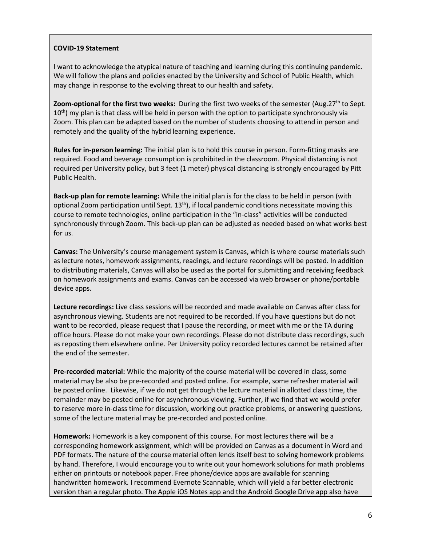## **COVID-19 Statement**

I want to acknowledge the atypical nature of teaching and learning during this continuing pandemic. We will follow the plans and policies enacted by the University and School of Public Health, which may change in response to the evolving threat to our health and safety.

**Zoom-optional for the first two weeks:** During the first two weeks of the semester (Aug.27th to Sept. 10<sup>th</sup>) my plan is that class will be held in person with the option to participate synchronously via Zoom. This plan can be adapted based on the number of students choosing to attend in person and remotely and the quality of the hybrid learning experience.

**Rules for in-person learning:** The initial plan is to hold this course in person. Form-fitting masks are required. Food and beverage consumption is prohibited in the classroom. Physical distancing is not required per University policy, but 3 feet (1 meter) physical distancing is strongly encouraged by Pitt Public Health.

**Back-up plan for remote learning:** While the initial plan is for the class to be held in person (with optional Zoom participation until Sept.  $13<sup>th</sup>$ ), if local pandemic conditions necessitate moving this course to remote technologies, online participation in the "in-class" activities will be conducted synchronously through Zoom. This back-up plan can be adjusted as needed based on what works best for us.

**Canvas:** The University's course management system is Canvas, which is where course materials such as lecture notes, homework assignments, readings, and lecture recordings will be posted. In addition to distributing materials, Canvas will also be used as the portal for submitting and receiving feedback on homework assignments and exams. Canvas can be accessed via web browser or phone/portable device apps.

**Lecture recordings:** Live class sessions will be recorded and made available on Canvas after class for asynchronous viewing. Students are not required to be recorded. If you have questions but do not want to be recorded, please request that I pause the recording, or meet with me or the TA during office hours. Please do not make your own recordings. Please do not distribute class recordings, such as reposting them elsewhere online. Per University policy recorded lectures cannot be retained after the end of the semester.

**Pre-recorded material:** While the majority of the course material will be covered in class, some material may be also be pre-recorded and posted online. For example, some refresher material will be posted online. Likewise, if we do not get through the lecture material in allotted class time, the remainder may be posted online for asynchronous viewing. Further, if we find that we would prefer to reserve more in-class time for discussion, working out practice problems, or answering questions, some of the lecture material may be pre-recorded and posted online.

**Homework:** Homework is a key component of this course. For most lectures there will be a corresponding homework assignment, which will be provided on Canvas as a document in Word and PDF formats. The nature of the course material often lends itself best to solving homework problems by hand. Therefore, I would encourage you to write out your homework solutions for math problems either on printouts or notebook paper. Free phone/device apps are available for scanning handwritten homework. I recommend Evernote Scannable, which will yield a far better electronic version than a regular photo. The Apple iOS Notes app and the Android Google Drive app also have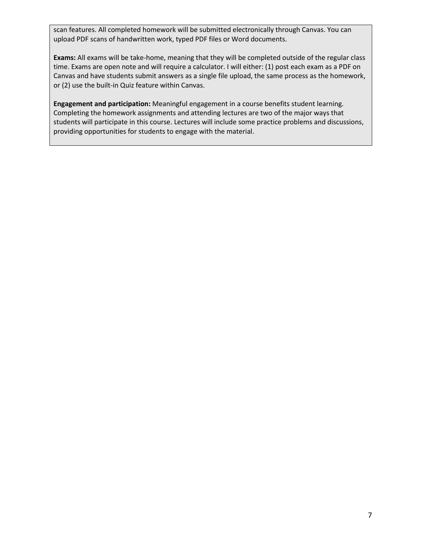scan features. All completed homework will be submitted electronically through Canvas. You can upload PDF scans of handwritten work, typed PDF files or Word documents.

**Exams:** All exams will be take-home, meaning that they will be completed outside of the regular class time. Exams are open note and will require a calculator. I will either: (1) post each exam as a PDF on Canvas and have students submit answers as a single file upload, the same process as the homework, or (2) use the built-in Quiz feature within Canvas.

**Engagement and participation:** Meaningful engagement in a course benefits student learning. Completing the homework assignments and attending lectures are two of the major ways that students will participate in this course. Lectures will include some practice problems and discussions, providing opportunities for students to engage with the material.